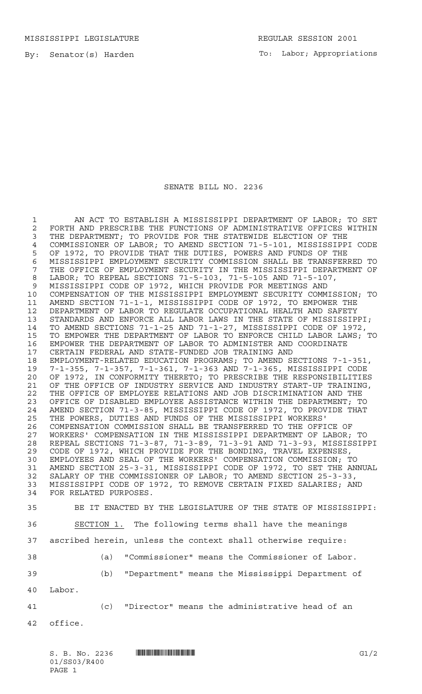MISSISSIPPI LEGISLATURE **REGULAR SESSION 2001** 

By: Senator(s) Harden

To: Labor; Appropriations

## SENATE BILL NO. 2236

 AN ACT TO ESTABLISH A MISSISSIPPI DEPARTMENT OF LABOR; TO SET 2 FORTH AND PRESCRIBE THE FUNCTIONS OF ADMINISTRATIVE OFFICES WITHIN<br>3 THE DEPARTMENT: TO PROVIDE FOR THE STATEWIDE ELECTION OF THE THE DEPARTMENT; TO PROVIDE FOR THE STATEWIDE ELECTION OF THE COMMISSIONER OF LABOR; TO AMEND SECTION 71-5-101, MISSISSIPPI CODE OF 1972, TO PROVIDE THAT THE DUTIES, POWERS AND FUNDS OF THE 6 MISSISSIPPI EMPLOYMENT SECURITY COMMISSION SHALL BE TRANSFERRED TO<br>7 THE OFFICE OF EMPLOYMENT SECURITY IN THE MISSISSIPPI DEPARTMENT OF THE OFFICE OF EMPLOYMENT SECURITY IN THE MISSISSIPPI DEPARTMENT OF LABOR; TO REPEAL SECTIONS 71-5-103, 71-5-105 AND 71-5-107, MISSISSIPPI CODE OF 1972, WHICH PROVIDE FOR MEETINGS AND COMPENSATION OF THE MISSISSIPPI EMPLOYMENT SECURITY COMMISSION; TO AMEND SECTION 71-1-1, MISSISSIPPI CODE OF 1972, TO EMPOWER THE DEPARTMENT OF LABOR TO REGULATE OCCUPATIONAL HEALTH AND SAFETY 13 STANDARDS AND ENFORCE ALL LABOR LAWS IN THE STATE OF MISSISSIPPI;<br>14 TO AMEND SECTIONS 71-1-25 AND 71-1-27, MISSISSIPPI CODE OF 1972, TO AMEND SECTIONS 71-1-25 AND 71-1-27, MISSISSIPPI CODE OF 1972, TO EMPOWER THE DEPARTMENT OF LABOR TO ENFORCE CHILD LABOR LAWS; TO 16 EMPOWER THE DEPARTMENT OF LABOR TO ADMINISTER AND COORDINATE<br>17 CERTAIN FEDERAL AND STATE-FUNDED JOB TRAINING AND CERTAIN FEDERAL AND STATE-FUNDED JOB TRAINING AND EMPLOYMENT-RELATED EDUCATION PROGRAMS; TO AMEND SECTIONS 7-1-351, 7-1-355, 7-1-357, 7-1-361, 7-1-363 AND 7-1-365, MISSISSIPPI CODE OF 1972, IN CONFORMITY THERETO; TO PRESCRIBE THE RESPONSIBILITIES OF THE OFFICE OF INDUSTRY SERVICE AND INDUSTRY START-UP TRAINING, THE OFFICE OF EMPLOYEE RELATIONS AND JOB DISCRIMINATION AND THE OFFICE OF DISABLED EMPLOYEE ASSISTANCE WITHIN THE DEPARTMENT; TO AMEND SECTION 71-3-85, MISSISSIPPI CODE OF 1972, TO PROVIDE THAT THE POWERS, DUTIES AND FUNDS OF THE MISSISSIPPI WORKERS' COMPENSATION COMMISSION SHALL BE TRANSFERRED TO THE OFFICE OF WORKERS' COMPENSATION IN THE MISSISSIPPI DEPARTMENT OF LABOR; TO REPEAL SECTIONS 71-3-87, 71-3-89, 71-3-91 AND 71-3-93, MISSISSIPPI CODE OF 1972, WHICH PROVIDE FOR THE BONDING, TRAVEL EXPENSES, EMPLOYEES AND SEAL OF THE WORKERS' COMPENSATION COMMISSION; TO AMEND SECTION 25-3-31, MISSISSIPPI CODE OF 1972, TO SET THE ANNUAL SALARY OF THE COMMISSIONER OF LABOR; TO AMEND SECTION 25-3-33, MISSISSIPPI CODE OF 1972, TO REMOVE CERTAIN FIXED SALARIES; AND FOR RELATED PURPOSES. BE IT ENACTED BY THE LEGISLATURE OF THE STATE OF MISSISSIPPI: SECTION 1. The following terms shall have the meanings ascribed herein, unless the context shall otherwise require: (a) "Commissioner" means the Commissioner of Labor. (b) "Department" means the Mississippi Department of Labor. (c) "Director" means the administrative head of an office.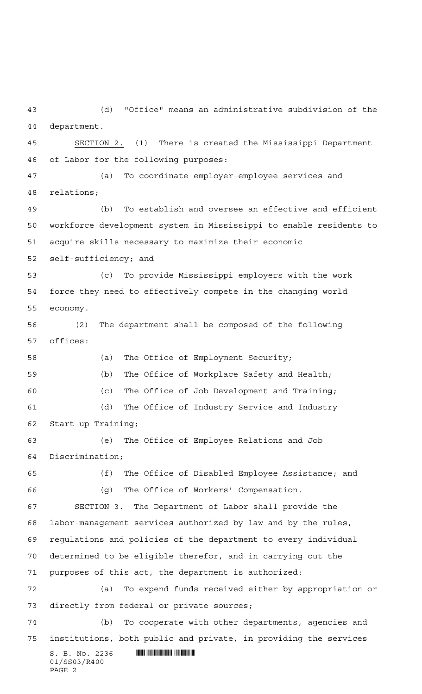(d) "Office" means an administrative subdivision of the department.

 SECTION 2. (1) There is created the Mississippi Department of Labor for the following purposes:

 (a) To coordinate employer-employee services and relations;

 (b) To establish and oversee an effective and efficient workforce development system in Mississippi to enable residents to acquire skills necessary to maximize their economic

self-sufficiency; and

 (c) To provide Mississippi employers with the work force they need to effectively compete in the changing world economy.

 (2) The department shall be composed of the following offices:

 (a) The Office of Employment Security; (b) The Office of Workplace Safety and Health; (c) The Office of Job Development and Training; (d) The Office of Industry Service and Industry

Start-up Training;

 (e) The Office of Employee Relations and Job Discrimination;

 (f) The Office of Disabled Employee Assistance; and (g) The Office of Workers' Compensation.

 SECTION 3. The Department of Labor shall provide the labor-management services authorized by law and by the rules, regulations and policies of the department to every individual determined to be eligible therefor, and in carrying out the purposes of this act, the department is authorized: (a) To expend funds received either by appropriation or

directly from federal or private sources;

 (b) To cooperate with other departments, agencies and institutions, both public and private, in providing the services

 $S.$  B. No. 2236 **\*\*\* WAND AND AND AND AND AND AND AN ABITURAL STATE**  $S.$  **B. No. 2236** 01/SS03/R400 PAGE 2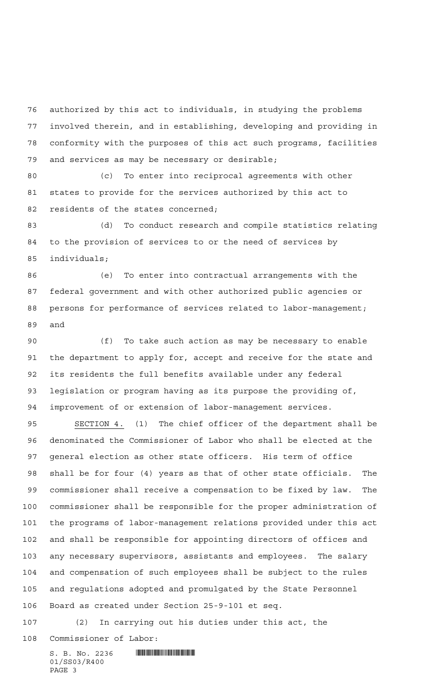authorized by this act to individuals, in studying the problems involved therein, and in establishing, developing and providing in conformity with the purposes of this act such programs, facilities and services as may be necessary or desirable;

 (c) To enter into reciprocal agreements with other states to provide for the services authorized by this act to 82 residents of the states concerned;

 (d) To conduct research and compile statistics relating to the provision of services to or the need of services by individuals;

 (e) To enter into contractual arrangements with the federal government and with other authorized public agencies or persons for performance of services related to labor-management; and

 (f) To take such action as may be necessary to enable the department to apply for, accept and receive for the state and its residents the full benefits available under any federal legislation or program having as its purpose the providing of, improvement of or extension of labor-management services.

 SECTION 4. (1) The chief officer of the department shall be denominated the Commissioner of Labor who shall be elected at the general election as other state officers. His term of office shall be for four (4) years as that of other state officials. The commissioner shall receive a compensation to be fixed by law. The commissioner shall be responsible for the proper administration of the programs of labor-management relations provided under this act and shall be responsible for appointing directors of offices and any necessary supervisors, assistants and employees. The salary and compensation of such employees shall be subject to the rules and regulations adopted and promulgated by the State Personnel Board as created under Section 25-9-101 et seq.

(2) In carrying out his duties under this act, the

Commissioner of Labor: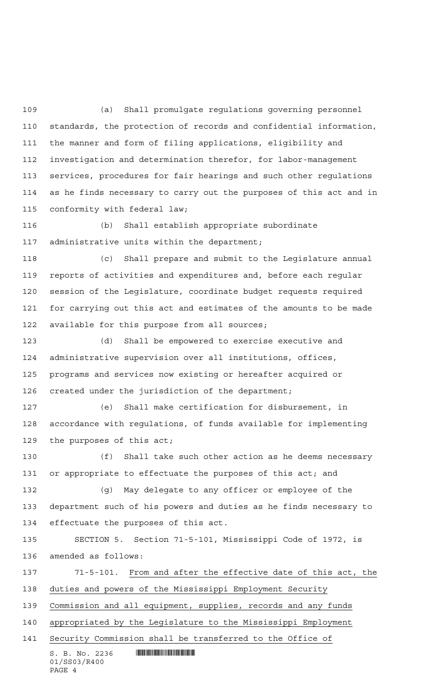(a) Shall promulgate regulations governing personnel standards, the protection of records and confidential information, the manner and form of filing applications, eligibility and investigation and determination therefor, for labor-management services, procedures for fair hearings and such other regulations as he finds necessary to carry out the purposes of this act and in conformity with federal law;

 (b) Shall establish appropriate subordinate administrative units within the department;

 (c) Shall prepare and submit to the Legislature annual reports of activities and expenditures and, before each regular session of the Legislature, coordinate budget requests required for carrying out this act and estimates of the amounts to be made available for this purpose from all sources;

 (d) Shall be empowered to exercise executive and administrative supervision over all institutions, offices, programs and services now existing or hereafter acquired or created under the jurisdiction of the department;

 (e) Shall make certification for disbursement, in accordance with regulations, of funds available for implementing the purposes of this act;

 (f) Shall take such other action as he deems necessary or appropriate to effectuate the purposes of this act; and

 (g) May delegate to any officer or employee of the department such of his powers and duties as he finds necessary to effectuate the purposes of this act.

 SECTION 5. Section 71-5-101, Mississippi Code of 1972, is amended as follows:

 71-5-101. From and after the effective date of this act, the duties and powers of the Mississippi Employment Security Commission and all equipment, supplies, records and any funds

appropriated by the Legislature to the Mississippi Employment

Security Commission shall be transferred to the Office of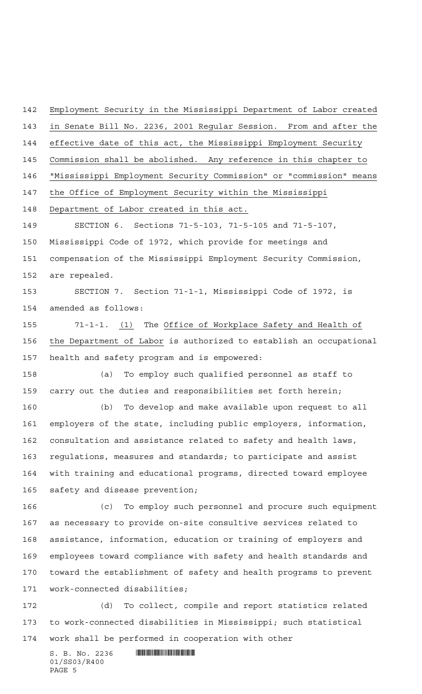Employment Security in the Mississippi Department of Labor created in Senate Bill No. 2236, 2001 Regular Session. From and after the effective date of this act, the Mississippi Employment Security Commission shall be abolished. Any reference in this chapter to "Mississippi Employment Security Commission" or "commission" means the Office of Employment Security within the Mississippi Department of Labor created in this act. SECTION 6. Sections 71-5-103, 71-5-105 and 71-5-107, Mississippi Code of 1972, which provide for meetings and compensation of the Mississippi Employment Security Commission, are repealed. SECTION 7. Section 71-1-1, Mississippi Code of 1972, is amended as follows: 71-1-1. (1) The Office of Workplace Safety and Health of the Department of Labor is authorized to establish an occupational health and safety program and is empowered: (a) To employ such qualified personnel as staff to carry out the duties and responsibilities set forth herein; (b) To develop and make available upon request to all employers of the state, including public employers, information, consultation and assistance related to safety and health laws, regulations, measures and standards; to participate and assist with training and educational programs, directed toward employee safety and disease prevention; (c) To employ such personnel and procure such equipment as necessary to provide on-site consultive services related to assistance, information, education or training of employers and employees toward compliance with safety and health standards and toward the establishment of safety and health programs to prevent work-connected disabilities; (d) To collect, compile and report statistics related to work-connected disabilities in Mississippi; such statistical

work shall be performed in cooperation with other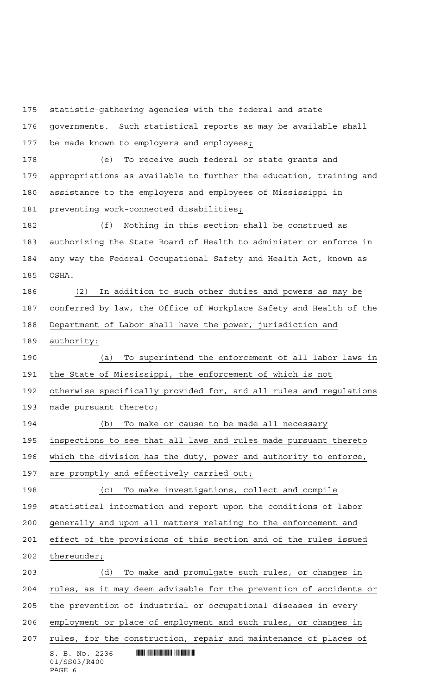statistic-gathering agencies with the federal and state

 governments. Such statistical reports as may be available shall be made known to employers and employees;

 (e) To receive such federal or state grants and appropriations as available to further the education, training and assistance to the employers and employees of Mississippi in preventing work-connected disabilities;

 (f) Nothing in this section shall be construed as authorizing the State Board of Health to administer or enforce in any way the Federal Occupational Safety and Health Act, known as OSHA.

 (2) In addition to such other duties and powers as may be conferred by law, the Office of Workplace Safety and Health of the Department of Labor shall have the power, jurisdiction and authority:

 (a) To superintend the enforcement of all labor laws in the State of Mississippi, the enforcement of which is not

 otherwise specifically provided for, and all rules and regulations made pursuant thereto;

 (b) To make or cause to be made all necessary inspections to see that all laws and rules made pursuant thereto which the division has the duty, power and authority to enforce, are promptly and effectively carried out;

 (c) To make investigations, collect and compile statistical information and report upon the conditions of labor generally and upon all matters relating to the enforcement and effect of the provisions of this section and of the rules issued

thereunder;

 $S. B. No. 2236$  . Monorational state of the state of  $S. B. NO. 2236$  (d) To make and promulgate such rules, or changes in rules, as it may deem advisable for the prevention of accidents or the prevention of industrial or occupational diseases in every employment or place of employment and such rules, or changes in 207 rules, for the construction, repair and maintenance of places of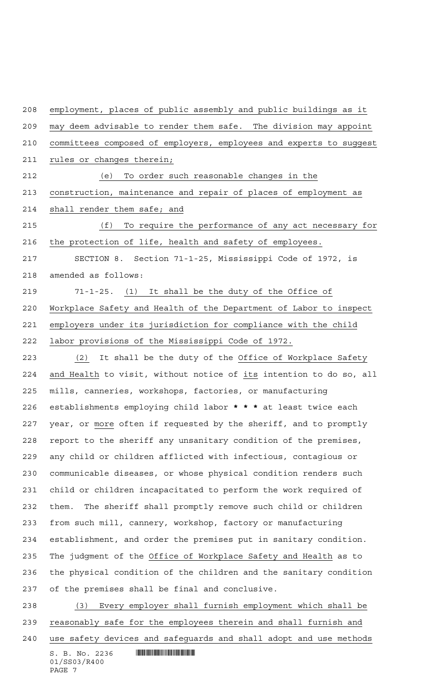employment, places of public assembly and public buildings as it may deem advisable to render them safe. The division may appoint committees composed of employers, employees and experts to suggest 211 rules or changes therein; (e) To order such reasonable changes in the construction, maintenance and repair of places of employment as shall render them safe; and (f) To require the performance of any act necessary for the protection of life, health and safety of employees. SECTION 8. Section 71-1-25, Mississippi Code of 1972, is amended as follows: 71-1-25. (1) It shall be the duty of the Office of Workplace Safety and Health of the Department of Labor to inspect employers under its jurisdiction for compliance with the child labor provisions of the Mississippi Code of 1972. (2) It shall be the duty of the Office of Workplace Safety and Health to visit, without notice of its intention to do so, all mills, canneries, workshops, factories, or manufacturing establishments employing child labor **\*\*\*** at least twice each year, or more often if requested by the sheriff, and to promptly report to the sheriff any unsanitary condition of the premises, any child or children afflicted with infectious, contagious or communicable diseases, or whose physical condition renders such child or children incapacitated to perform the work required of them. The sheriff shall promptly remove such child or children from such mill, cannery, workshop, factory or manufacturing establishment, and order the premises put in sanitary condition. The judgment of the Office of Workplace Safety and Health as to the physical condition of the children and the sanitary condition of the premises shall be final and conclusive. (3) Every employer shall furnish employment which shall be

 reasonably safe for the employees therein and shall furnish and use safety devices and safeguards and shall adopt and use methods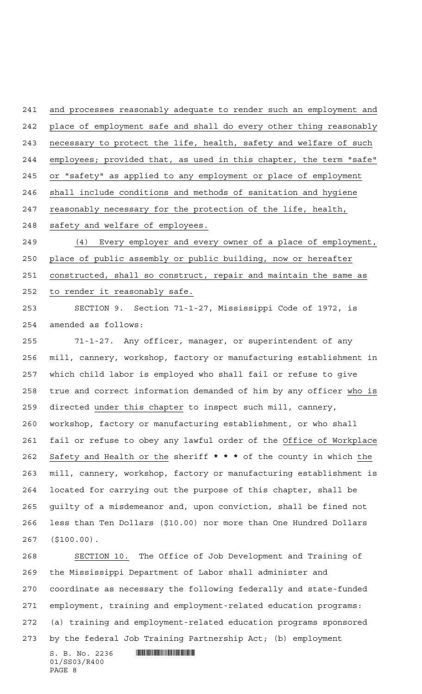and processes reasonably adequate to render such an employment and place of employment safe and shall do every other thing reasonably necessary to protect the life, health, safety and welfare of such employees; provided that, as used in this chapter, the term "safe" or "safety" as applied to any employment or place of employment shall include conditions and methods of sanitation and hygiene reasonably necessary for the protection of the life, health, safety and welfare of employees.

 (4) Every employer and every owner of a place of employment, place of public assembly or public building, now or hereafter constructed, shall so construct, repair and maintain the same as to render it reasonably safe.

 SECTION 9. Section 71-1-27, Mississippi Code of 1972, is amended as follows:

 71-1-27. Any officer, manager, or superintendent of any mill, cannery, workshop, factory or manufacturing establishment in which child labor is employed who shall fail or refuse to give true and correct information demanded of him by any officer who is directed under this chapter to inspect such mill, cannery, workshop, factory or manufacturing establishment, or who shall fail or refuse to obey any lawful order of the Office of Workplace Safety and Health or the sheriff **\*\*\*** of the county in which the mill, cannery, workshop, factory or manufacturing establishment is located for carrying out the purpose of this chapter, shall be guilty of a misdemeanor and, upon conviction, shall be fined not less than Ten Dollars (\$10.00) nor more than One Hundred Dollars (\$100.00).

 SECTION 10. The Office of Job Development and Training of the Mississippi Department of Labor shall administer and coordinate as necessary the following federally and state-funded employment, training and employment-related education programs: (a) training and employment-related education programs sponsored by the federal Job Training Partnership Act; (b) employment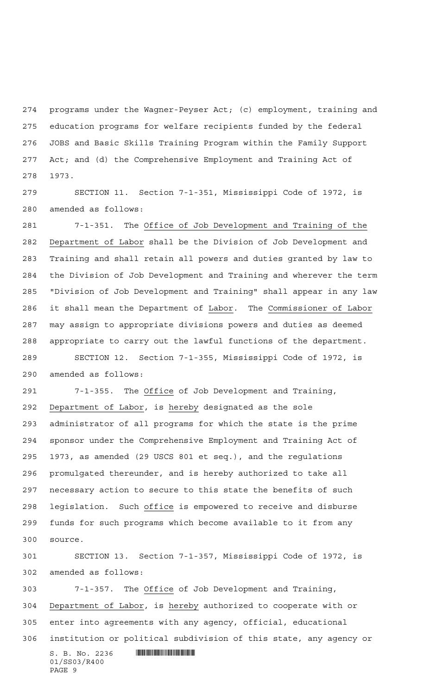programs under the Wagner-Peyser Act; (c) employment, training and education programs for welfare recipients funded by the federal JOBS and Basic Skills Training Program within the Family Support Act; and (d) the Comprehensive Employment and Training Act of 1973.

 SECTION 11. Section 7-1-351, Mississippi Code of 1972, is amended as follows:

 7-1-351. The Office of Job Development and Training of the Department of Labor shall be the Division of Job Development and Training and shall retain all powers and duties granted by law to the Division of Job Development and Training and wherever the term "Division of Job Development and Training" shall appear in any law it shall mean the Department of Labor. The Commissioner of Labor may assign to appropriate divisions powers and duties as deemed appropriate to carry out the lawful functions of the department. SECTION 12. Section 7-1-355, Mississippi Code of 1972, is amended as follows:

 7-1-355. The Office of Job Development and Training, Department of Labor, is hereby designated as the sole administrator of all programs for which the state is the prime sponsor under the Comprehensive Employment and Training Act of 1973, as amended (29 USCS 801 et seq.), and the regulations promulgated thereunder, and is hereby authorized to take all necessary action to secure to this state the benefits of such legislation. Such office is empowered to receive and disburse funds for such programs which become available to it from any source.

 SECTION 13. Section 7-1-357, Mississippi Code of 1972, is amended as follows:

 7-1-357. The Office of Job Development and Training, Department of Labor, is hereby authorized to cooperate with or enter into agreements with any agency, official, educational institution or political subdivision of this state, any agency or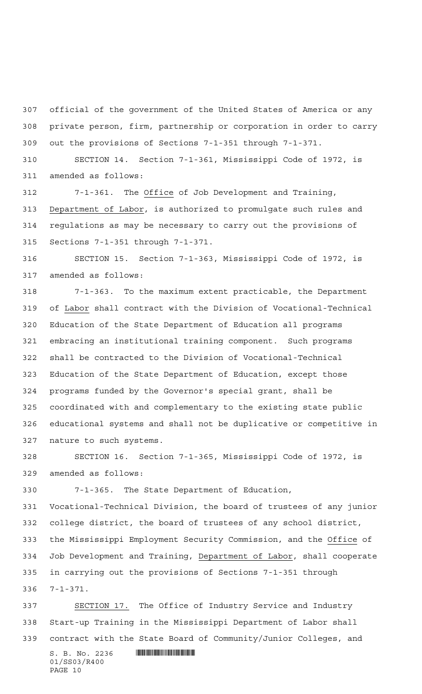official of the government of the United States of America or any private person, firm, partnership or corporation in order to carry out the provisions of Sections 7-1-351 through 7-1-371.

 SECTION 14. Section 7-1-361, Mississippi Code of 1972, is amended as follows:

 7-1-361. The Office of Job Development and Training, Department of Labor, is authorized to promulgate such rules and regulations as may be necessary to carry out the provisions of Sections 7-1-351 through 7-1-371.

 SECTION 15. Section 7-1-363, Mississippi Code of 1972, is amended as follows:

 7-1-363. To the maximum extent practicable, the Department of Labor shall contract with the Division of Vocational-Technical Education of the State Department of Education all programs embracing an institutional training component. Such programs shall be contracted to the Division of Vocational-Technical Education of the State Department of Education, except those programs funded by the Governor's special grant, shall be coordinated with and complementary to the existing state public educational systems and shall not be duplicative or competitive in nature to such systems.

 SECTION 16. Section 7-1-365, Mississippi Code of 1972, is amended as follows:

7-1-365. The State Department of Education,

 Vocational-Technical Division, the board of trustees of any junior college district, the board of trustees of any school district, the Mississippi Employment Security Commission, and the Office of Job Development and Training, Department of Labor, shall cooperate in carrying out the provisions of Sections 7-1-351 through 7-1-371.

 $S. B. No. 2236$  . Monorational state of the state of  $S. B. NO. 2236$  SECTION 17. The Office of Industry Service and Industry Start-up Training in the Mississippi Department of Labor shall contract with the State Board of Community/Junior Colleges, and

01/SS03/R400 PAGE 10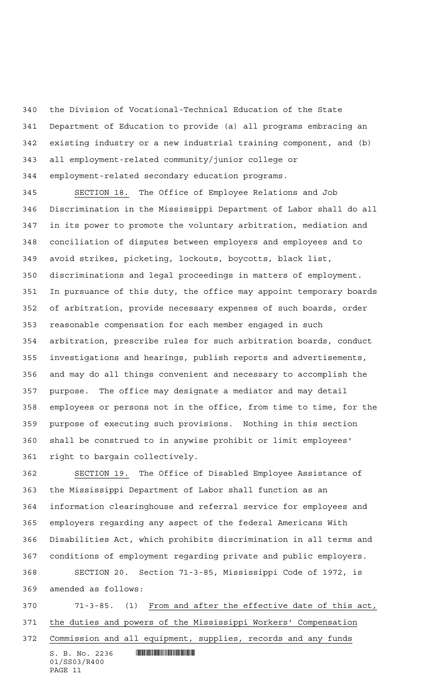the Division of Vocational-Technical Education of the State Department of Education to provide (a) all programs embracing an existing industry or a new industrial training component, and (b) all employment-related community/junior college or employment-related secondary education programs.

 SECTION 18. The Office of Employee Relations and Job Discrimination in the Mississippi Department of Labor shall do all in its power to promote the voluntary arbitration, mediation and conciliation of disputes between employers and employees and to avoid strikes, picketing, lockouts, boycotts, black list, discriminations and legal proceedings in matters of employment. In pursuance of this duty, the office may appoint temporary boards of arbitration, provide necessary expenses of such boards, order reasonable compensation for each member engaged in such arbitration, prescribe rules for such arbitration boards, conduct investigations and hearings, publish reports and advertisements, and may do all things convenient and necessary to accomplish the purpose. The office may designate a mediator and may detail employees or persons not in the office, from time to time, for the purpose of executing such provisions. Nothing in this section shall be construed to in anywise prohibit or limit employees' right to bargain collectively.

 SECTION 19. The Office of Disabled Employee Assistance of the Mississippi Department of Labor shall function as an information clearinghouse and referral service for employees and employers regarding any aspect of the federal Americans With Disabilities Act, which prohibits discrimination in all terms and conditions of employment regarding private and public employers.

 SECTION 20. Section 71-3-85, Mississippi Code of 1972, is amended as follows:

 71-3-85. (1) From and after the effective date of this act, the duties and powers of the Mississippi Workers' Compensation Commission and all equipment, supplies, records and any funds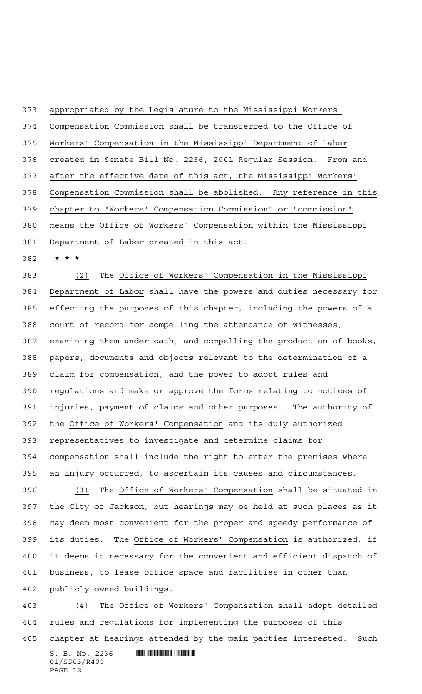appropriated by the Legislature to the Mississippi Workers' Compensation Commission shall be transferred to the Office of Workers' Compensation in the Mississippi Department of Labor created in Senate Bill No. 2236, 2001 Regular Session. From and after the effective date of this act, the Mississippi Workers' Compensation Commission shall be abolished. Any reference in this chapter to "Workers' Compensation Commission" or "commission" means the Office of Workers' Compensation within the Mississippi Department of Labor created in this act.

**\*\*\***

 (2) The Office of Workers' Compensation in the Mississippi Department of Labor shall have the powers and duties necessary for effecting the purposes of this chapter, including the powers of a court of record for compelling the attendance of witnesses, examining them under oath, and compelling the production of books, papers, documents and objects relevant to the determination of a claim for compensation, and the power to adopt rules and regulations and make or approve the forms relating to notices of injuries, payment of claims and other purposes. The authority of the Office of Workers' Compensation and its duly authorized representatives to investigate and determine claims for compensation shall include the right to enter the premises where an injury occurred, to ascertain its causes and circumstances.

 (3) The Office of Workers' Compensation shall be situated in the City of Jackson, but hearings may be held at such places as it may deem most convenient for the proper and speedy performance of its duties. The Office of Workers' Compensation is authorized, if it deems it necessary for the convenient and efficient dispatch of business, to lease office space and facilities in other than publicly-owned buildings.

 (4) The Office of Workers' Compensation shall adopt detailed rules and regulations for implementing the purposes of this chapter at hearings attended by the main parties interested. Such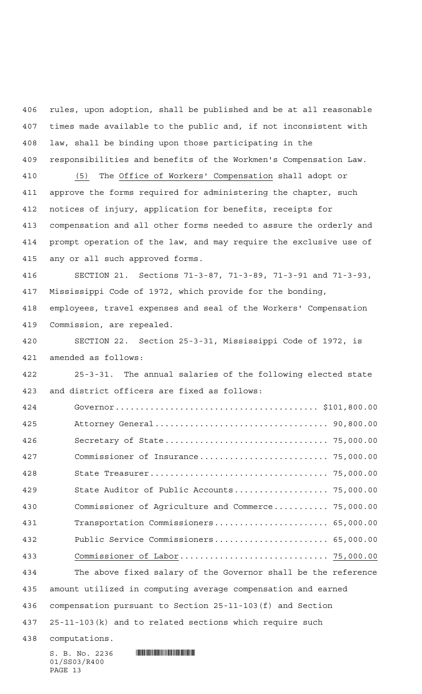rules, upon adoption, shall be published and be at all reasonable times made available to the public and, if not inconsistent with law, shall be binding upon those participating in the responsibilities and benefits of the Workmen's Compensation Law. (5) The Office of Workers' Compensation shall adopt or approve the forms required for administering the chapter, such

 notices of injury, application for benefits, receipts for compensation and all other forms needed to assure the orderly and prompt operation of the law, and may require the exclusive use of any or all such approved forms.

 SECTION 21. Sections 71-3-87, 71-3-89, 71-3-91 and 71-3-93, Mississippi Code of 1972, which provide for the bonding,

 employees, travel expenses and seal of the Workers' Compensation Commission, are repealed.

 SECTION 22. Section 25-3-31, Mississippi Code of 1972, is amended as follows:

 25-3-31. The annual salaries of the following elected state and district officers are fixed as follows:

 Governor......................................... \$101,800.00 Attorney General................................... 90,800.00 Secretary of State................................. 75,000.00 Commissioner of Insurance.......................... 75,000.00 State Treasurer.................................... 75,000.00 State Auditor of Public Accounts................... 75,000.00 Commissioner of Agriculture and Commerce........... 75,000.00 Transportation Commissioners....................... 65,000.00 Public Service Commissioners....................... 65,000.00 Commissioner of Labor.............................. 75,000.00 The above fixed salary of the Governor shall be the reference amount utilized in computing average compensation and earned compensation pursuant to Section 25-11-103(f) and Section 25-11-103(k) and to related sections which require such computations.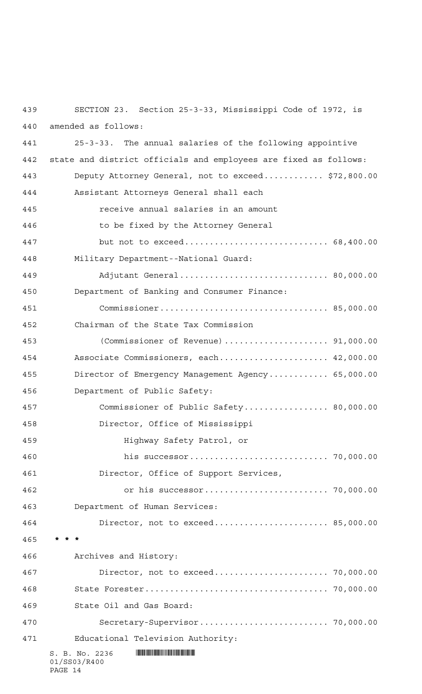S. B. No. 2236 **. SUMMAN AND SECTION** 01/SS03/R400 SECTION 23. Section 25-3-33, Mississippi Code of 1972, is amended as follows: 25-3-33. The annual salaries of the following appointive state and district officials and employees are fixed as follows: Deputy Attorney General, not to exceed............ \$72,800.00 Assistant Attorneys General shall each receive annual salaries in an amount to be fixed by the Attorney General but not to exceed............................. 68,400.00 Military Department--National Guard: Adjutant General.............................. 80,000.00 Department of Banking and Consumer Finance: Commissioner.................................. 85,000.00 Chairman of the State Tax Commission (Commissioner of Revenue)..................... 91,000.00 Associate Commissioners, each...................... 42,000.00 Director of Emergency Management Agency............ 65,000.00 Department of Public Safety: Commissioner of Public Safety................. 80,000.00 Director, Office of Mississippi Highway Safety Patrol, or his successor............................ 70,000.00 Director, Office of Support Services, or his successor......................... 70,000.00 Department of Human Services: Director, not to exceed....................... 85,000.00 **\*\*\*** Archives and History: Director, not to exceed....................... 70,000.00 State Forester..................................... 70,000.00 State Oil and Gas Board: Secretary-Supervisor.......................... 70,000.00 Educational Television Authority:

PAGE 14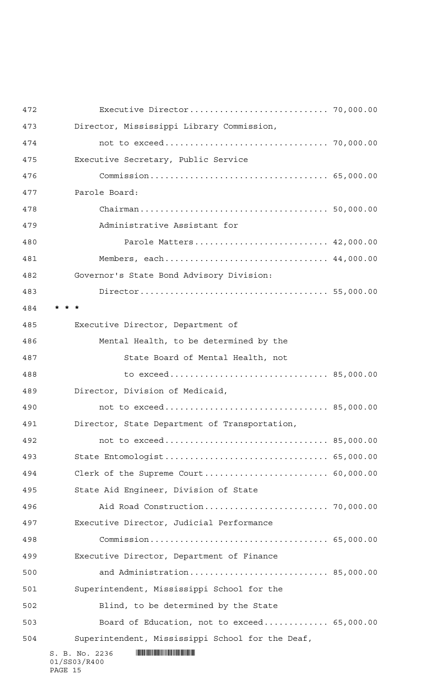| 472 |                                                                                                                                                                                                                                                        |  |
|-----|--------------------------------------------------------------------------------------------------------------------------------------------------------------------------------------------------------------------------------------------------------|--|
| 473 | Director, Mississippi Library Commission,                                                                                                                                                                                                              |  |
| 474 |                                                                                                                                                                                                                                                        |  |
| 475 | Executive Secretary, Public Service                                                                                                                                                                                                                    |  |
| 476 |                                                                                                                                                                                                                                                        |  |
| 477 | Parole Board:                                                                                                                                                                                                                                          |  |
| 478 |                                                                                                                                                                                                                                                        |  |
| 479 | Administrative Assistant for                                                                                                                                                                                                                           |  |
| 480 | Parole Matters 42,000.00                                                                                                                                                                                                                               |  |
| 481 | Members, each 44,000.00                                                                                                                                                                                                                                |  |
| 482 | Governor's State Bond Advisory Division:                                                                                                                                                                                                               |  |
| 483 |                                                                                                                                                                                                                                                        |  |
| 484 |                                                                                                                                                                                                                                                        |  |
| 485 | Executive Director, Department of                                                                                                                                                                                                                      |  |
| 486 | Mental Health, to be determined by the                                                                                                                                                                                                                 |  |
| 487 | State Board of Mental Health, not                                                                                                                                                                                                                      |  |
| 488 |                                                                                                                                                                                                                                                        |  |
| 489 | Director, Division of Medicaid,                                                                                                                                                                                                                        |  |
| 490 | not to exceed 85,000.00                                                                                                                                                                                                                                |  |
| 491 | Director, State Department of Transportation,                                                                                                                                                                                                          |  |
| 492 | not to exceed 85,000.00                                                                                                                                                                                                                                |  |
| 493 | State Entomologist 65,000.00                                                                                                                                                                                                                           |  |
| 494 |                                                                                                                                                                                                                                                        |  |
| 495 | State Aid Engineer, Division of State                                                                                                                                                                                                                  |  |
| 496 |                                                                                                                                                                                                                                                        |  |
| 497 | Executive Director, Judicial Performance                                                                                                                                                                                                               |  |
| 498 |                                                                                                                                                                                                                                                        |  |
| 499 | Executive Director, Department of Finance                                                                                                                                                                                                              |  |
| 500 | and Administration 85,000.00                                                                                                                                                                                                                           |  |
| 501 | Superintendent, Mississippi School for the                                                                                                                                                                                                             |  |
| 502 | Blind, to be determined by the State                                                                                                                                                                                                                   |  |
| 503 | Board of Education, not to exceed 65,000.00                                                                                                                                                                                                            |  |
| 504 | Superintendent, Mississippi School for the Deaf,                                                                                                                                                                                                       |  |
|     | <u> Harry Harry Harry Harry Harry Harry Harry Harry Harry Harry Harry Harry Harry Harry Harry Harry Harry Harry Harry Harry Harry Harry Harry Harry Harry Harry Harry Harry Harry Harry Harry Harry Harry Harry Harry Harry Harr</u><br>S. B. No. 2236 |  |

01/SS03/R400 PAGE 15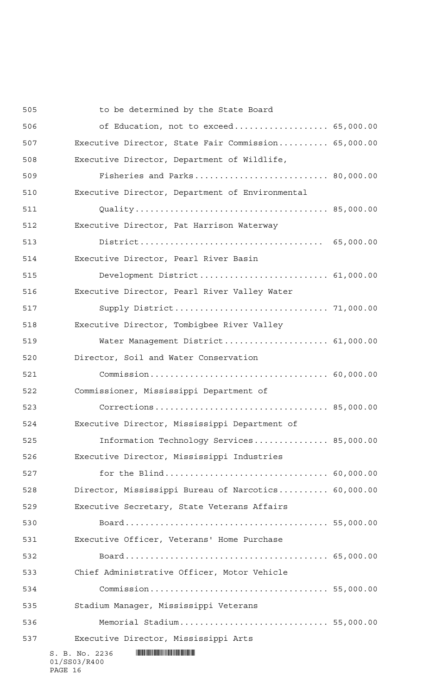| 505 | to be determined by the State Board                 |  |
|-----|-----------------------------------------------------|--|
| 506 | of Education, not to exceed 65,000.00               |  |
| 507 | Executive Director, State Fair Commission 65,000.00 |  |
| 508 | Executive Director, Department of Wildlife,         |  |
| 509 | Fisheries and Parks 80,000.00                       |  |
| 510 | Executive Director, Department of Environmental     |  |
| 511 |                                                     |  |
| 512 | Executive Director, Pat Harrison Waterway           |  |
| 513 |                                                     |  |
| 514 | Executive Director, Pearl River Basin               |  |
| 515 | Development District 61,000.00                      |  |
| 516 | Executive Director, Pearl River Valley Water        |  |
| 517 |                                                     |  |
| 518 | Executive Director, Tombigbee River Valley          |  |
| 519 | Water Management District 61,000.00                 |  |
| 520 | Director, Soil and Water Conservation               |  |
| 521 |                                                     |  |
| 522 | Commissioner, Mississippi Department of             |  |
| 523 |                                                     |  |
| 524 | Executive Director, Mississippi Department of       |  |
| 525 | Information Technology Services 85,000.00           |  |
| 526 | Executive Director, Mississippi Industries          |  |
| 527 |                                                     |  |
| 528 | Director, Mississippi Bureau of Narcotics 60,000.00 |  |
| 529 | Executive Secretary, State Veterans Affairs         |  |
| 530 |                                                     |  |
| 531 | Executive Officer, Veterans' Home Purchase          |  |
| 532 |                                                     |  |
| 533 | Chief Administrative Officer, Motor Vehicle         |  |
| 534 |                                                     |  |
| 535 | Stadium Manager, Mississippi Veterans               |  |
| 536 | Memorial Stadium 55,000.00                          |  |
| 537 | Executive Director, Mississippi Arts                |  |
|     | S. B. No. 2236                                      |  |

01/SS03/R400 PAGE 16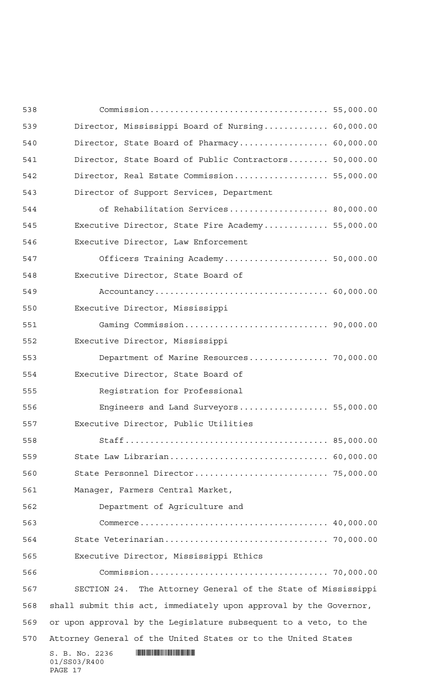| 538 |                                                                   |  |
|-----|-------------------------------------------------------------------|--|
| 539 | Director, Mississippi Board of Nursing 60,000.00                  |  |
| 540 | Director, State Board of Pharmacy 60,000.00                       |  |
| 541 | Director, State Board of Public Contractors 50,000.00             |  |
| 542 | Director, Real Estate Commission 55,000.00                        |  |
| 543 | Director of Support Services, Department                          |  |
| 544 | of Rehabilitation Services 80,000.00                              |  |
| 545 | Executive Director, State Fire Academy 55,000.00                  |  |
| 546 | Executive Director, Law Enforcement                               |  |
| 547 | Officers Training Academy 50,000.00                               |  |
| 548 | Executive Director, State Board of                                |  |
| 549 |                                                                   |  |
| 550 | Executive Director, Mississippi                                   |  |
| 551 |                                                                   |  |
| 552 | Executive Director, Mississippi                                   |  |
| 553 | Department of Marine Resources 70,000.00                          |  |
| 554 | Executive Director, State Board of                                |  |
| 555 | Registration for Professional                                     |  |
| 556 | Engineers and Land Surveyors 55,000.00                            |  |
| 557 | Executive Director, Public Utilities                              |  |
| 558 |                                                                   |  |
| 559 | State Law Librarian 60,000.00                                     |  |
| 560 |                                                                   |  |
| 561 | Manager, Farmers Central Market,                                  |  |
| 562 | Department of Agriculture and                                     |  |
| 563 |                                                                   |  |
| 564 |                                                                   |  |
| 565 | Executive Director, Mississippi Ethics                            |  |
| 566 |                                                                   |  |
| 567 | SECTION 24. The Attorney General of the State of Mississippi      |  |
| 568 | shall submit this act, immediately upon approval by the Governor, |  |
| 569 | or upon approval by the Legislature subsequent to a veto, to the  |  |
| 570 | Attorney General of the United States or to the United States     |  |
|     | S. B. No. 2236<br>01/SS03/R400<br>PAGE 17                         |  |